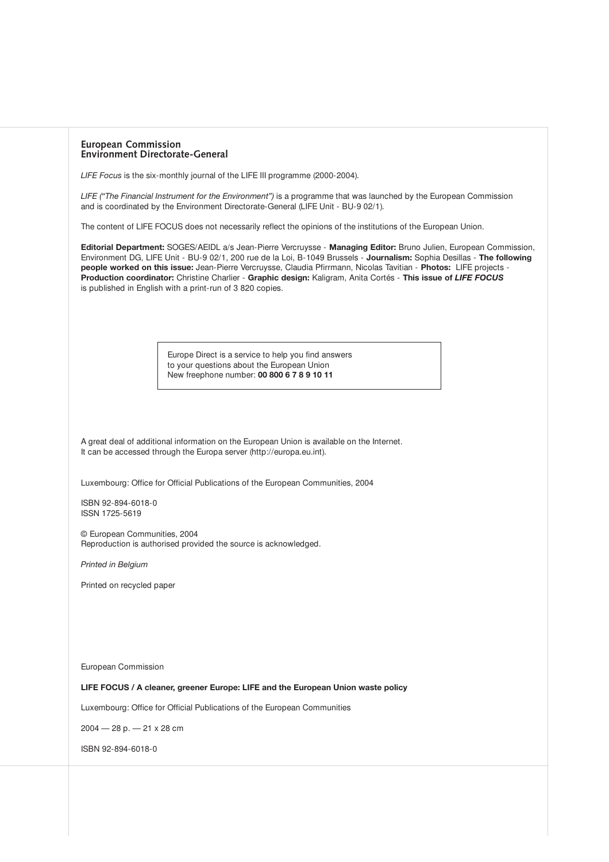| <b>European Commission</b>             |  |
|----------------------------------------|--|
| <b>Environment Directorate-General</b> |  |

*LIFE Focus* is the six-monthly journal of the LIFE III programme (2000-2004).

*LIFE ("The Financial Instrument for the Environment")* is a programme that was launched by the European Commission and is coordinated by the Environment Directorate-General (LIFE Unit - BU-9 02/1).

The content of LIFE FOCUS does not necessarily reflect the opinions of the institutions of the European Union.

**Editorial Department:** SOGES/AEIDL a/s Jean-Pierre Vercruysse - **Managing Editor:** Bruno Julien, European Commission, Environment DG, LIFE Unit - BU-9 02/1, 200 rue de la Loi, B-1049 Brussels - **Journalism:** Sophia Desillas - **The following people worked on this issue:** Jean-Pierre Vercruysse, Claudia Pfirrmann, Nicolas Tavitian - **Photos:** LIFE projects - **Production coordinator:** Christine Charlier - **Graphic design:** Kaligram, Anita Cortés - **This issue of** *LIFE FOCUS* is published in English with a print-run of 3 820 copies.

> Europe Direct is a service to help you find answers to your questions about the European Union New freephone number: **00 800 6 7 8 9 10 11**

A great deal of additional information on the European Union is available on the Internet. It can be accessed through the Europa server (http://europa.eu.int).

Luxembourg: Office for Official Publications of the European Communities, 2004

ISBN 92-894-6018-0 ISSN 1725-5619

© European Communities, 2004 Reproduction is authorised provided the source is acknowledged.

*Printed in Belgium*

Printed on recycled paper

European Commission

**LIFE FOCUS / A cleaner, greener Europe: LIFE and the European Union waste policy** 

Luxembourg: Office for Official Publications of the European Communities

2004 — 28 p. — 21 x 28 cm

ISBN 92-894-6018-0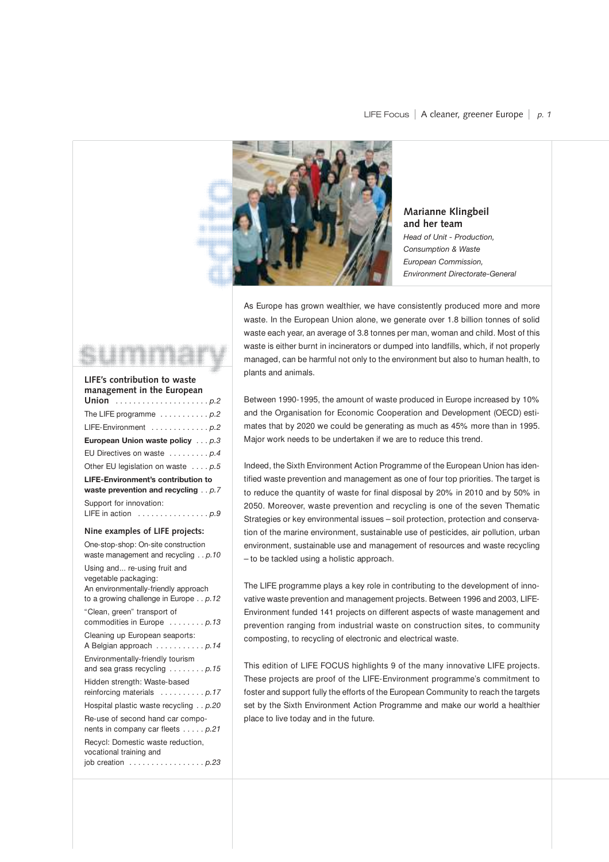

**Marianne Klingbeil and her team** *Head of Unit - Production, Consumption & Waste European Commission, Environment Directorate-General*

As Europe has grown wealthier, we have consistently produced more and more waste. In the European Union alone, we generate over 1.8 billion tonnes of solid waste each year, an average of 3.8 tonnes per man, woman and child. Most of this waste is either burnt in incinerators or dumped into landfills, which, if not properly managed, can be harmful not only to the environment but also to human health, to plants and animals.

Between 1990-1995, the amount of waste produced in Europe increased by 10% and the Organisation for Economic Cooperation and Development (OECD) estimates that by 2020 we could be generating as much as 45% more than in 1995. Major work needs to be undertaken if we are to reduce this trend.

Indeed, the Sixth Environment Action Programme of the European Union has identified waste prevention and management as one of four top priorities. The target is to reduce the quantity of waste for final disposal by 20% in 2010 and by 50% in 2050. Moreover, waste prevention and recycling is one of the seven Thematic Strategies or key environmental issues – soil protection, protection and conservation of the marine environment, sustainable use of pesticides, air pollution, urban environment, sustainable use and management of resources and waste recycling – to be tackled using a holistic approach.

The LIFE programme plays a key role in contributing to the development of innovative waste prevention and management projects. Between 1996 and 2003, LIFE-Environment funded 141 projects on different aspects of waste management and prevention ranging from industrial waste on construction sites, to community composting, to recycling of electronic and electrical waste.

This edition of LIFE FOCUS highlights 9 of the many innovative LIFE projects. These projects are proof of the LIFE-Environment programme's commitment to foster and support fully the efforts of the European Community to reach the targets set by the Sixth Environment Action Programme and make our world a healthier place to live today and in the future.



### **Nine examples of LIFE projects:**

One-stop-shop: On-site construction waste management and recycling . . *p.10* Using and... re-using fruit and vegetable packaging: An environmentally-friendly approach to a growing challenge in Europe . . *p.12* "Clean, green" transport of commodities in Europe . . . . . . . . *p.13* Cleaning up European seaports: A Belgian approach . . . . . . . . . . . *p.14* Environmentally-friendly tourism and sea grass recycling . . . . . . . . *p.15* Hidden strength: Waste-based reinforcing materials . . . . . . . . . . *p.17* Hospital plastic waste recycling . . *p.20* Re-use of second hand car components in company car fleets . . . . . *p.21* Recycl: Domestic waste reduction, vocational training and job creation . . . . . . . . . . . . . . . . . *p.23*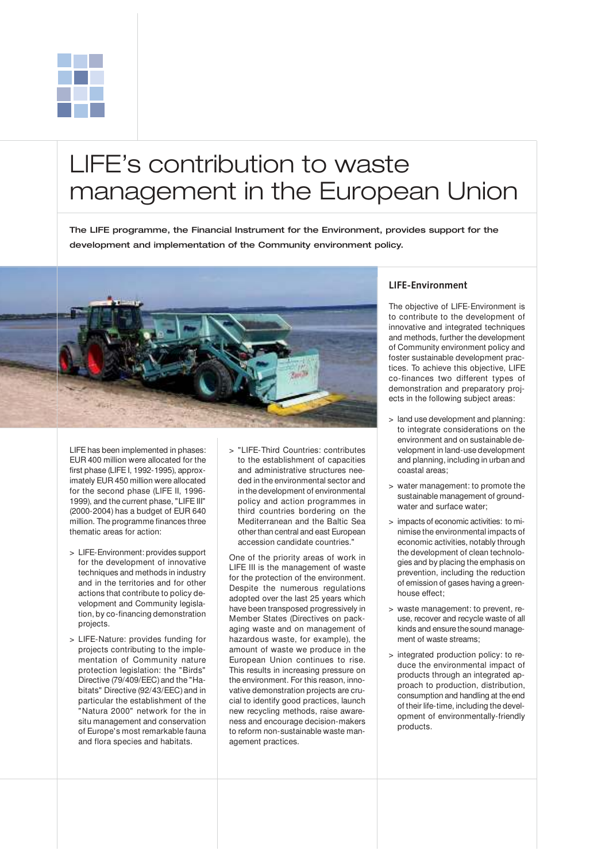

# LIFE's contribution to waste management in the European Union

The LIFE programme, the Financial Instrument for the Environment, provides support for the development and implementation of the Community environment policy.



LIFE has been implemented in phases: EUR 400 million were allocated for the first phase (LIFE I, 1992-1995), approximately EUR 450 million were allocated for the second phase (LIFE II, 1996- 1999), and the current phase, "LIFE III" (2000-2004) has a budget of EUR 640 million. The programme finances three thematic areas for action:

- > LIFE-Environment: provides support for the development of innovative techniques and methods in industry and in the territories and for other actions that contribute to policy development and Community legislation, by co-financing demonstration projects.
- > LIFE-Nature: provides funding for projects contributing to the implementation of Community nature protection legislation: the "Birds" Directive (79/409/EEC) and the "Habitats" Directive (92/43/EEC) and in particular the establishment of the "Natura 2000" network for the in situ management and conservation of Europe's most remarkable fauna and flora species and habitats.

> "LIFE-Third Countries: contributes to the establishment of capacities and administrative structures needed in the environmental sector and in the development of environmental policy and action programmes in third countries bordering on the Mediterranean and the Baltic Sea other than central and east European accession candidate countries."

One of the priority areas of work in LIFE III is the management of waste for the protection of the environment. Despite the numerous regulations adopted over the last 25 years which have been transposed progressively in Member States (Directives on packaging waste and on management of hazardous waste, for example), the amount of waste we produce in the European Union continues to rise. This results in increasing pressure on the environment. For this reason, innovative demonstration projects are crucial to identify good practices, launch new recycling methods, raise awareness and encourage decision-makers to reform non-sustainable waste management practices.

### **LIFE-Environment**

The objective of LIFE-Environment is to contribute to the development of innovative and integrated techniques and methods, further the development of Community environment policy and foster sustainable development practices. To achieve this objective, LIFE co-finances two different types of demonstration and preparatory projects in the following subject areas:

- > land use development and planning: to integrate considerations on the environment and on sustainable development in land-use development and planning, including in urban and coastal areas;
- > water management: to promote the sustainable management of groundwater and surface water;
- > impacts of economic activities: to minimise the environmental impacts of economic activities, notably through the development of clean technologies and by placing the emphasis on prevention, including the reduction of emission of gases having a greenhouse effect;
- > waste management: to prevent, reuse, recover and recycle waste of all kinds and ensure the sound management of waste streams;
- > integrated production policy: to reduce the environmental impact of products through an integrated approach to production, distribution, consumption and handling at the end of their life-time, including the development of environmentally-friendly products.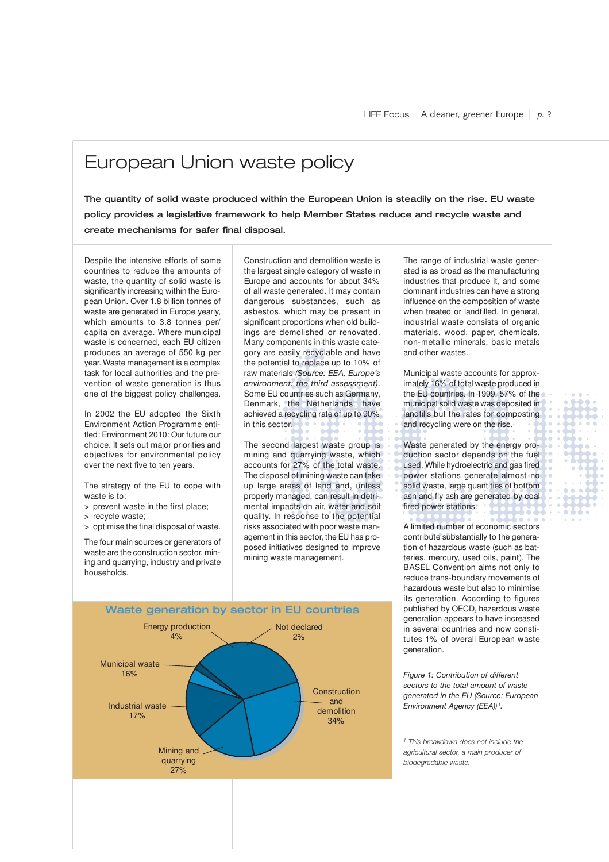## European Union waste policy

The quantity of solid waste produced within the European Union is steadily on the rise. EU waste policy provides a legislative framework to help Member States reduce and recycle waste and create mechanisms for safer final disposal.

Despite the intensive efforts of some countries to reduce the amounts of waste, the quantity of solid waste is significantly increasing within the European Union. Over 1.8 billion tonnes of waste are generated in Europe yearly, which amounts to 3.8 tonnes per/ capita on average. Where municipal waste is concerned, each EU citizen produces an average of 550 kg per year. Waste management is a complex task for local authorities and the prevention of waste generation is thus one of the biggest policy challenges.

In 2002 the EU adopted the Sixth Environment Action Programme entitled: Environment 2010: Our future our choice. It sets out major priorities and objectives for environmental policy over the next five to ten years.

The strategy of the EU to cope with waste is to:

- > prevent waste in the first place;
- > recycle waste;
- > optimise the final disposal of waste.

The four main sources or generators of waste are the construction sector, mining and quarrying, industry and private households.

Construction and demolition waste is the largest single category of waste in Europe and accounts for about 34% of all waste generated. It may contain dangerous substances, such as asbestos, which may be present in significant proportions when old buildings are demolished or renovated. Many components in this waste category are easily recyclable and have the potential to replace up to 10% of raw materials *(Source: EEA, Europe's environment: the third assessment)*. Some EU countries such as Germany, Denmark, the Netherlands, have achieved a recycling rate of up to 90% in this sector.

The second largest waste group is mining and quarrying waste, which accounts for 27% of the total waste. The disposal of mining waste can take up large areas of land and, unless properly managed, can result in detrimental impacts on air, water and soil quality. In response to the potential risks associated with poor waste management in this sector, the EU has proposed initiatives designed to improve mining waste management.



The range of industrial waste generated is as broad as the manufacturing industries that produce it, and some dominant industries can have a strong influence on the composition of waste when treated or landfilled. In general, industrial waste consists of organic materials, wood, paper, chemicals, non-metallic minerals, basic metals and other wastes.

Municipal waste accounts for approximately 16% of total waste produced in the EU countries. In 1999, 57% of the municipal solid waste was deposited in landfills but the rates for composting and recycling were on the rise.

Waste generated by the energy production sector depends on the fuel used. While hydroelectric and gas fired power stations generate almost no solid waste, large quantities of bottom ash and fly ash are generated by coal fired power stations.

A limited number of economic sectors contribute substantially to the generation of hazardous waste (such as batteries, mercury, used oils, paint). The BASEL Convention aims not only to reduce trans-boundary movements of hazardous waste but also to minimise its generation. According to figures published by OECD, hazardous waste generation appears to have increased in several countries and now constitutes 1% of overall European waste generation.

*Figure 1: Contribution of different sectors to the total amount of waste generated in the EU (Source: European Environment Agency (EEA)) <sup>1</sup> .* 

*<sup>1</sup> This breakdown does not include the agricultural sector, a main producer of biodegradable waste.*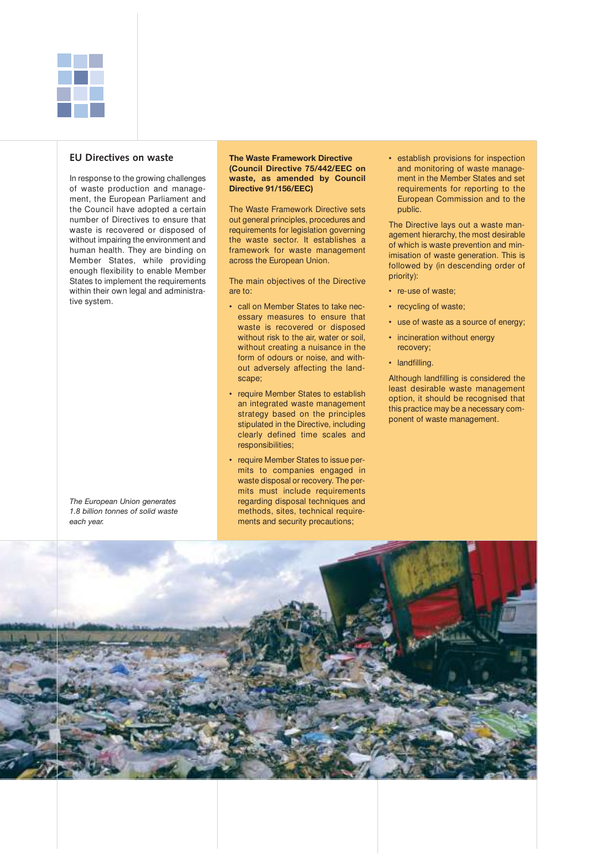

### **EU Directives on waste**

In response to the growing challenges of waste production and management, the European Parliament and the Council have adopted a certain number of Directives to ensure that waste is recovered or disposed of without impairing the environment and human health. They are binding on Member States, while providing enough flexibility to enable Member States to implement the requirements within their own legal and administrative system.

*The European Union generates 1.8 billion tonnes of solid waste each year.*

#### **The Waste Framework Directive (Council Directive 75/442/EEC on waste, as amended by Council Directive 91/156/EEC)**

The Waste Framework Directive sets out general principles, procedures and requirements for legislation governing the waste sector. It establishes a framework for waste management across the European Union.

The main objectives of the Directive are to:

- call on Member States to take necessary measures to ensure that waste is recovered or disposed without risk to the air, water or soil. without creating a nuisance in the form of odours or noise, and without adversely affecting the landscape;
- require Member States to establish an integrated waste management strategy based on the principles stipulated in the Directive, including clearly defined time scales and responsibilities;
- require Member States to issue permits to companies engaged in waste disposal or recovery. The permits must include requirements regarding disposal techniques and methods, sites, technical requirements and security precautions;

• establish provisions for inspection and monitoring of waste management in the Member States and set requirements for reporting to the European Commission and to the public.

The Directive lays out a waste management hierarchy, the most desirable of which is waste prevention and minimisation of waste generation. This is followed by (in descending order of priority):

- re-use of waste;
- recycling of waste;
- use of waste as a source of energy;
- incineration without energy recovery;
- landfilling.

Although landfilling is considered the least desirable waste management option, it should be recognised that this practice may be a necessary component of waste management.

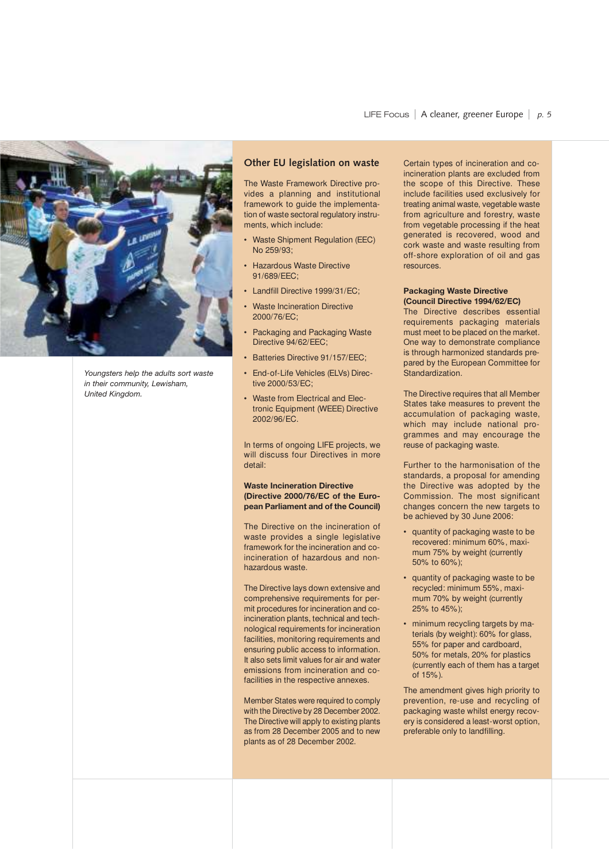

*Youngsters help the adults sort waste in their community, Lewisham, United Kingdom.*

### **Other EU legislation on waste**

The Waste Framework Directive provides a planning and institutional framework to guide the implementation of waste sectoral regulatory instruments, which include:

- Waste Shipment Regulation (EEC) No 259/93;
- Hazardous Waste Directive 91/689/EEC;
- Landfill Directive 1999/31/EC:
- **Waste Incineration Directive** 2000/76/EC;
- Packaging and Packaging Waste Directive 94/62/EEC;
- Batteries Directive 91/157/EEC:
- End-of-Life Vehicles (ELVs) Directive 2000/53/EC;
- Waste from Electrical and Electronic Equipment (WEEE) Directive 2002/96/EC.

In terms of ongoing LIFE projects, we will discuss four Directives in more detail:

**Waste Incineration Directive (Directive 2000/76/EC of the European Parliament and of the Council)**

The Directive on the incineration of waste provides a single legislative framework for the incineration and coincineration of hazardous and nonhazardous waste.

The Directive lays down extensive and comprehensive requirements for permit procedures for incineration and coincineration plants, technical and technological requirements for incineration facilities, monitoring requirements and ensuring public access to information. It also sets limit values for air and water emissions from incineration and cofacilities in the respective annexes.

Member States were required to comply with the Directive by 28 December 2002. The Directive will apply to existing plants as from 28 December 2005 and to new plants as of 28 December 2002.

Certain types of incineration and coincineration plants are excluded from the scope of this Directive. These include facilities used exclusively for treating animal waste, vegetable waste from agriculture and forestry, waste from vegetable processing if the heat generated is recovered, wood and cork waste and waste resulting from off-shore exploration of oil and gas resources.

#### **Packaging Waste Directive (Council Directive 1994/62/EC)**

The Directive describes essential requirements packaging materials must meet to be placed on the market. One way to demonstrate compliance is through harmonized standards prepared by the European Committee for Standardization.

The Directive requires that all Member States take measures to prevent the accumulation of packaging waste, which may include national programmes and may encourage the reuse of packaging waste.

Further to the harmonisation of the standards, a proposal for amending the Directive was adopted by the Commission. The most significant changes concern the new targets to be achieved by 30 June 2006:

- quantity of packaging waste to be recovered: minimum 60%, maximum 75% by weight (currently 50% to 60%);
- quantity of packaging waste to be recycled: minimum 55%, maximum 70% by weight (currently 25% to 45%);
- minimum recycling targets by materials (by weight): 60% for glass, 55% for paper and cardboard, 50% for metals, 20% for plastics (currently each of them has a target of 15%).

The amendment gives high priority to prevention, re-use and recycling of packaging waste whilst energy recovery is considered a least-worst option, preferable only to landfilling.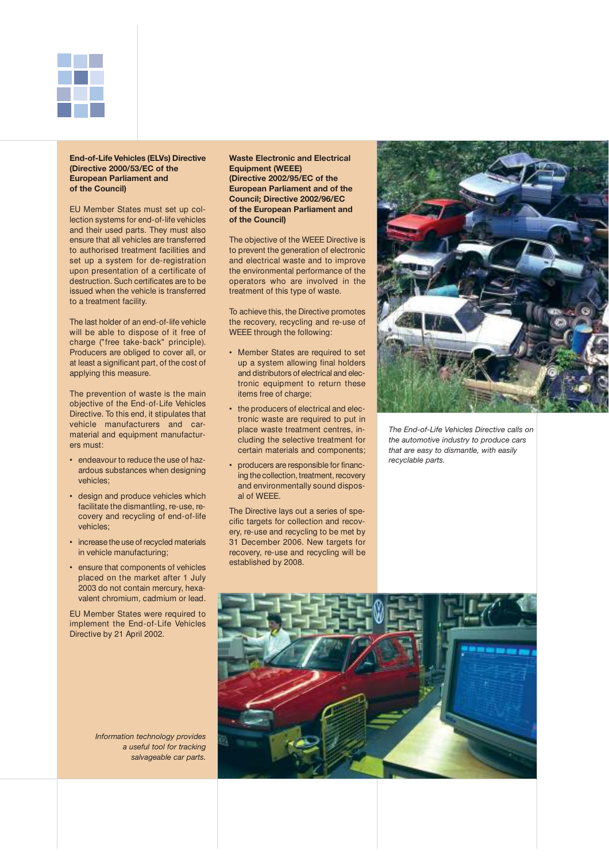

#### **End-of-Life Vehicles (ELVs) Directive (Directive 2000/53/EC of the European Parliament and of the Council)**

EU Member States must set up collection systems for end-of-life vehicles and their used parts. They must also ensure that all vehicles are transferred to authorised treatment facilities and set up a system for de-registration upon presentation of a certificate of destruction. Such certificates are to be issued when the vehicle is transferred to a treatment facility.

The last holder of an end-of-life vehicle will be able to dispose of it free of charge ("free take-back" principle). Producers are obliged to cover all, or at least a significant part, of the cost of applying this measure.

The prevention of waste is the main objective of the End-of-Life Vehicles Directive. To this end, it stipulates that vehicle manufacturers and carmaterial and equipment manufacturers must:

- endeavour to reduce the use of hazardous substances when designing vehicles;
- design and produce vehicles which facilitate the dismantling, re-use, recovery and recycling of end-of-life vehicles;
- increase the use of recycled materials in vehicle manufacturing;
- ensure that components of vehicles placed on the market after 1 July 2003 do not contain mercury, hexavalent chromium, cadmium or lead.

EU Member States were required to implement the End-of-Life Vehicles Directive by 21 April 2002.

**Waste Electronic and Electrical Equipment (WEEE) (Directive 2002/95/EC of the European Parliament and of the Council; Directive 2002/96/EC of the European Parliament and of the Council)**

The objective of the WEEE Directive is to prevent the generation of electronic and electrical waste and to improve the environmental performance of the operators who are involved in the treatment of this type of waste.

To achieve this, the Directive promotes the recovery, recycling and re-use of WEEE through the following:

- Member States are required to set up a system allowing final holders and distributors of electrical and electronic equipment to return these items free of charge;
- the producers of electrical and electronic waste are required to put in place waste treatment centres, including the selective treatment for certain materials and components;
- producers are responsible for financing the collection, treatment, recovery and environmentally sound disposal of WEEE.

The Directive lays out a series of specific targets for collection and recovery, re-use and recycling to be met by 31 December 2006. New targets for recovery, re-use and recycling will be established by 2008.



*The End-of-Life Vehicles Directive calls on the automotive industry to produce cars that are easy to dismantle, with easily recyclable parts.*



*Information technology provides a useful tool for tracking salvageable car parts.*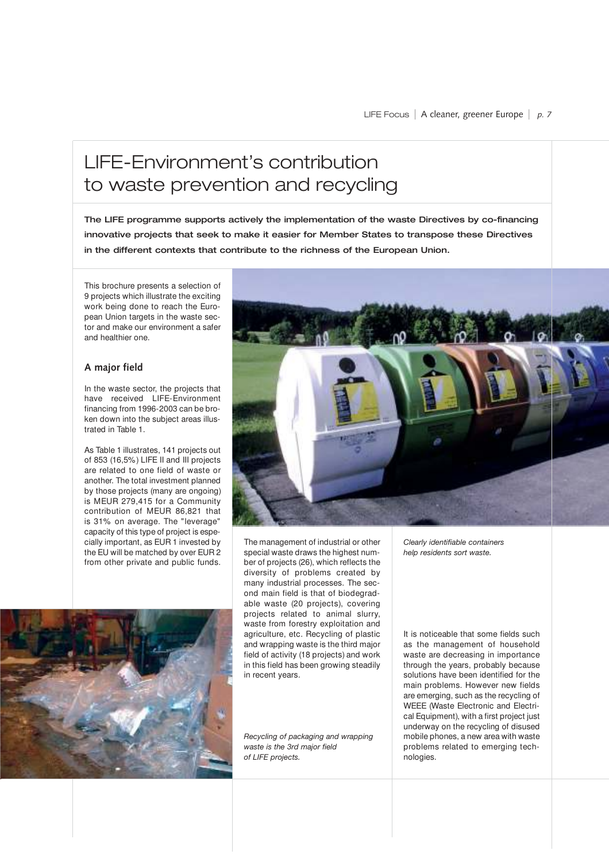## LIFE-Environment's contribution to waste prevention and recycling

The LIFE programme supports actively the implementation of the waste Directives by co-financing innovative projects that seek to make it easier for Member States to transpose these Directives in the different contexts that contribute to the richness of the European Union.

This brochure presents a selection of 9 projects which illustrate the exciting work being done to reach the European Union targets in the waste sector and make our environment a safer and healthier one.

### **A major field**

In the waste sector, the projects that have received LIFE-Environment financing from 1996-2003 can be broken down into the subject areas illustrated in Table 1.

As Table 1 illustrates, 141 projects out of 853 (16,5%) LIFE II and III projects are related to one field of waste or another. The total investment planned by those projects (many are ongoing) is MEUR 279,415 for a Community contribution of MEUR 86,821 that is 31% on average. The "leverage" capacity of this type of project is especially important, as EUR 1 invested by the EU will be matched by over EUR 2 from other private and public funds.



The management of industrial or other special waste draws the highest number of projects (26), which reflects the diversity of problems created by many industrial processes. The second main field is that of biodegradable waste (20 projects), covering projects related to animal slurry, waste from forestry exploitation and agriculture, etc. Recycling of plastic and wrapping waste is the third major field of activity (18 projects) and work in this field has been growing steadily in recent years.

*Recycling of packaging and wrapping waste is the 3rd major field of LIFE projects.*

*Clearly identifiable containers help residents sort waste.*

It is noticeable that some fields such as the management of household waste are decreasing in importance through the years, probably because solutions have been identified for the main problems. However new fields are emerging, such as the recycling of WEEE (Waste Electronic and Electrical Equipment), with a first project just underway on the recycling of disused mobile phones, a new area with waste problems related to emerging technologies.

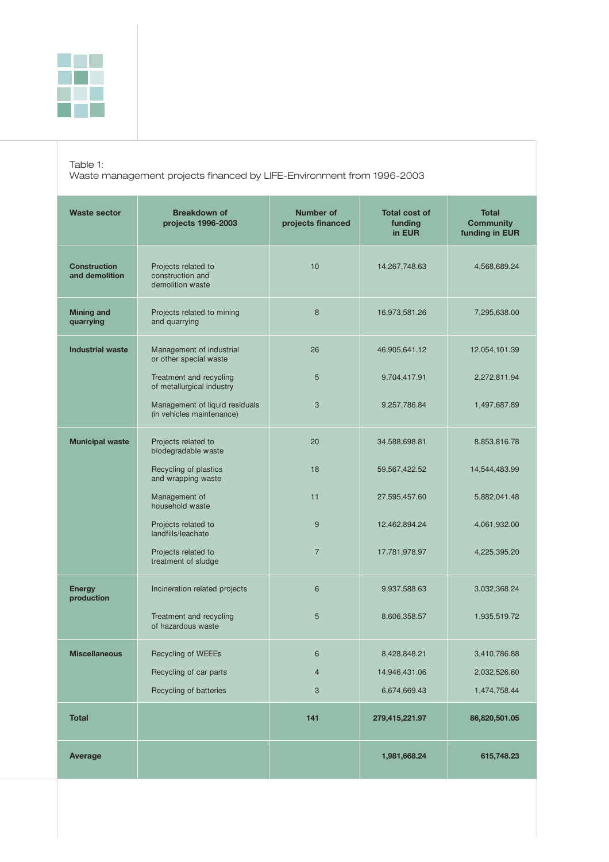

Table 1:

Waste management projects financed by LIFE-Environment from 1996-2003

| <b>Waste sector</b>                   | <b>Breakdown of</b><br>projects 1996-2003                   | <b>Number of</b><br>projects financed | <b>Total cost of</b><br>funding<br>in EUR | <b>Total</b><br><b>Community</b><br>funding in EUR |
|---------------------------------------|-------------------------------------------------------------|---------------------------------------|-------------------------------------------|----------------------------------------------------|
| <b>Construction</b><br>and demolition | Projects related to<br>construction and<br>demolition waste | 10                                    | 14,267,748.63                             | 4,568,689.24                                       |
| <b>Mining and</b><br>quarrying        | Projects related to mining<br>and quarrying                 | 8                                     | 16,973,581.26                             | 7,295,638.00                                       |
| <b>Industrial waste</b>               | Management of industrial<br>or other special waste          | 26                                    | 46,905,641.12                             | 12,054,101.39                                      |
|                                       | Treatment and recycling<br>of metallurgical industry        | 5                                     | 9,704,417.91                              | 2,272,811.94                                       |
|                                       | Management of liquid residuals<br>(in vehicles maintenance) | 3                                     | 9,257,786.84                              | 1,497,687.89                                       |
| <b>Municipal waste</b>                | Projects related to<br>biodegradable waste                  | 20                                    | 34,588,698.81                             | 8,853,816.78                                       |
|                                       | Recycling of plastics<br>and wrapping waste                 | 18                                    | 59,567,422.52                             | 14,544,483.99                                      |
|                                       | Management of<br>household waste                            | 11                                    | 27,595,457.60                             | 5,882,041.48                                       |
|                                       | Projects related to<br>landfills/leachate                   | 9                                     | 12,462,894.24                             | 4,061,932.00                                       |
|                                       | Projects related to<br>treatment of sludge                  | $\overline{7}$                        | 17,781,978.97                             | 4,225,395.20                                       |
| <b>Energy</b><br>production           | Incineration related projects                               | 6                                     | 9,937,588.63                              | 3,032,368.24                                       |
|                                       | Treatment and recycling<br>of hazardous waste               | 5                                     | 8,606,358.57                              | 1,935,519.72                                       |
| <b>Miscellaneous</b>                  | Recycling of WEEEs                                          | 6                                     | 8,428,848.21                              | 3,410,786.88                                       |
|                                       | Recycling of car parts                                      | 4                                     | 14,946,431.06                             | 2,032,526.60                                       |
|                                       | Recycling of batteries                                      | 3                                     | 6,674,669.43                              | 1,474,758.44                                       |
| <b>Total</b>                          |                                                             | 141                                   | 279,415,221.97                            | 86,820,501.05                                      |
| Average                               |                                                             |                                       | 1,981,668.24                              | 615,748.23                                         |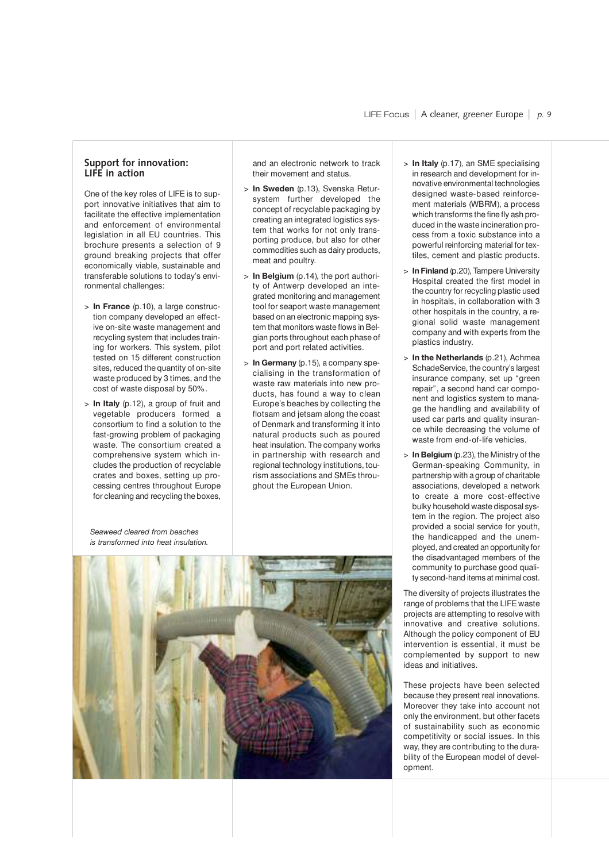### **Support for innovation: LIFE in action**

One of the key roles of LIFE is to support innovative initiatives that aim to facilitate the effective implementation and enforcement of environmental legislation in all EU countries. This brochure presents a selection of 9 ground breaking projects that offer economically viable, sustainable and transferable solutions to today's environmental challenges:

- > **In France** (p.10), a large construction company developed an effective on-site waste management and recycling system that includes training for workers. This system, pilot tested on 15 different construction sites, reduced the quantity of on-site waste produced by 3 times, and the cost of waste disposal by 50%.
- > **In Italy** (p.12), a group of fruit and vegetable producers formed a consortium to find a solution to the fast-growing problem of packaging waste. The consortium created a comprehensive system which includes the production of recyclable crates and boxes, setting up processing centres throughout Europe for cleaning and recycling the boxes,

*Seaweed cleared from beaches is transformed into heat insulation.* and an electronic network to track their movement and status.

- > **In Sweden** (p.13), Svenska Retursystem further developed the concept of recyclable packaging by creating an integrated logistics system that works for not only transporting produce, but also for other commodities such as dairy products, meat and poultry.
- > **In Belgium** (p.14), the port authority of Antwerp developed an integrated monitoring and management tool for seaport waste management based on an electronic mapping system that monitors waste flows in Belgian ports throughout each phase of port and port related activities.
- > **In Germany** (p.15), a company specialising in the transformation of waste raw materials into new products, has found a way to clean Europe's beaches by collecting the flotsam and jetsam along the coast of Denmark and transforming it into natural products such as poured heat insulation. The company works in partnership with research and regional technology institutions, tourism associations and SMEs throughout the European Union.



- > **In Finland** (p.20), Tampere University Hospital created the first model in the country for recycling plastic used in hospitals, in collaboration with 3 other hospitals in the country, a regional solid waste management company and with experts from the plastics industry.
- > **In the Netherlands** (p.21), Achmea SchadeService, the country's largest insurance company, set up "green repair", a second hand car component and logistics system to manage the handling and availability of used car parts and quality insurance while decreasing the volume of waste from end-of-life vehicles.
- > **In Belgium** (p.23), the Ministry of the German-speaking Community, in partnership with a group of charitable associations, developed a network to create a more cost-effective bulky household waste disposal system in the region. The project also provided a social service for youth, the handicapped and the unemployed, and created an opportunity for the disadvantaged members of the community to purchase good quality second-hand items at minimal cost.

The diversity of projects illustrates the range of problems that the LIFE waste projects are attempting to resolve with innovative and creative solutions. Although the policy component of EU intervention is essential, it must be complemented by support to new ideas and initiatives.

These projects have been selected because they present real innovations. Moreover they take into account not only the environment, but other facets of sustainability such as economic competitivity or social issues. In this way, they are contributing to the durability of the European model of development.

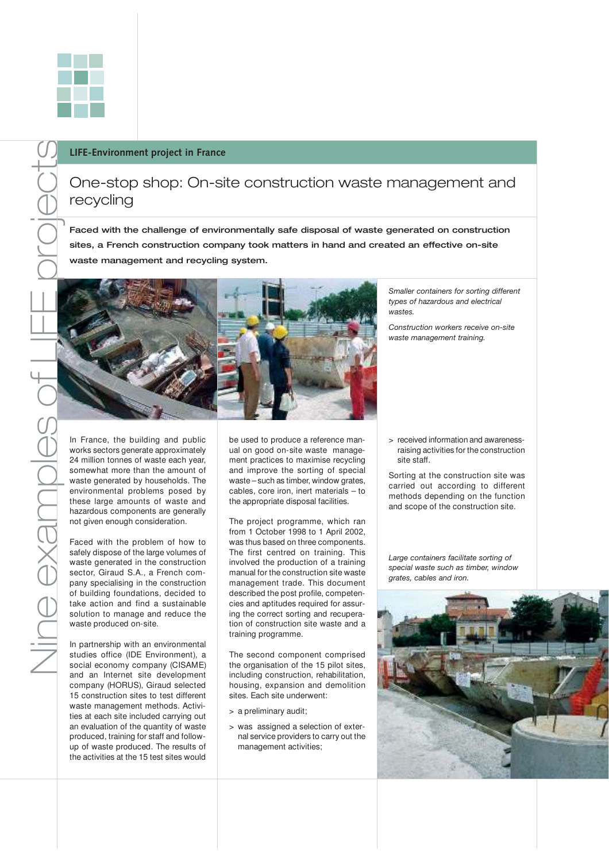One-stop shop: On-site construction waste management and recycling

Faced with the challenge of environmentally safe disposal of waste generated on construction sites, a French construction company took matters in hand and created an effective on-site waste management and recycling system.

In France, the building and public works sectors generate approximately 24 million tonnes of waste each year, somewhat more than the amount of waste generated by households. The environmental problems posed by these large amounts of waste and hazardous components are generally not given enough consideration.

Faced with the problem of how to safely dispose of the large volumes of waste generated in the construction sector, Giraud S.A., a French company specialising in the construction of building foundations, decided to take action and find a sustainable solution to manage and reduce the waste produced on-site.

In partnership with an environmental studies office (IDE Environment), a social economy company (CISAME) and an Internet site development company (HORUS), Giraud selected 15 construction sites to test different waste management methods. Activities at each site included carrying out an evaluation of the quantity of waste produced, training for staff and followup of waste produced. The results of the activities at the 15 test sites would

be used to produce a reference manual on good on-site waste management practices to maximise recycling and improve the sorting of special waste – such as timber, window grates, cables, core iron, inert materials – to the appropriate disposal facilities.

The project programme, which ran from 1 October 1998 to 1 April 2002, was thus based on three components. The first centred on training. This involved the production of a training manual for the construction site waste management trade. This document described the post profile, competencies and aptitudes required for assuring the correct sorting and recuperation of construction site waste and a training programme.

The second component comprised the organisation of the 15 pilot sites, including construction, rehabilitation, housing, expansion and demolition sites. Each site underwent:

- > a preliminary audit;
- > was assigned a selection of external service providers to carry out the management activities;

*Smaller containers for sorting different types of hazardous and electrical wastes.*

*Construction workers receive on-site waste management training.* 

> received information and awarenessraising activities for the construction site staff.

Sorting at the construction site was carried out according to different methods depending on the function and scope of the construction site.

*Large containers facilitate sorting of special waste such as timber, window grates, cables and iron.*

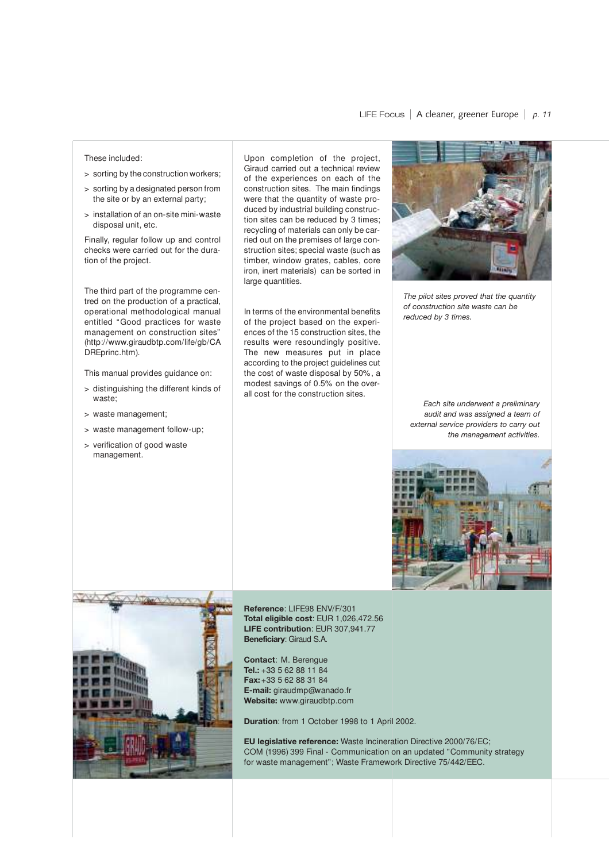#### These included:

- > sorting by the construction workers;
- > sorting by a designated person from the site or by an external party;
- > installation of an on-site mini-waste disposal unit, etc.

Finally, regular follow up and control checks were carried out for the duration of the project.

The third part of the programme centred on the production of a practical, operational methodological manual entitled "Good practices for waste management on construction sites" (http://www.giraudbtp.com/life/gb/CA DREprinc.htm).

This manual provides guidance on:

- > distinguishing the different kinds of waste;
- > waste management;
- > waste management follow-up;
- > verification of good waste management.

Upon completion of the project, Giraud carried out a technical review of the experiences on each of the construction sites. The main findings were that the quantity of waste produced by industrial building construction sites can be reduced by 3 times; recycling of materials can only be carried out on the premises of large construction sites; special waste (such as timber, window grates, cables, core iron, inert materials) can be sorted in large quantities.

In terms of the environmental benefits of the project based on the experiences of the 15 construction sites, the results were resoundingly positive. The new measures put in place according to the project guidelines cut the cost of waste disposal by 50%, a modest savings of 0.5% on the overall cost for the construction sites.



*The pilot sites proved that the quantity of construction site waste can be reduced by 3 times.*

*Each site underwent a preliminary audit and was assigned a team of external service providers to carry out the management activities.*





**Reference**: LIFE98 ENV/F/301 **Total eligible cost**: EUR 1,026,472.56 **LIFE contribution**: EUR 307,941.77 **Beneficiary**: Giraud S.A.

**Contact**: M. Berengue **Tel.:** +33 5 62 88 11 84 **Fax:**+33 5 62 88 31 84 **E-mail:** giraudmp@wanado.fr **Website:** www.giraudbtp.com

**Duration**: from 1 October 1998 to 1 April 2002.

**EU legislative reference:** Waste Incineration Directive 2000/76/EC; COM (1996) 399 Final - Communication on an updated "Community strategy for waste management"; Waste Framework Directive 75/442/EEC.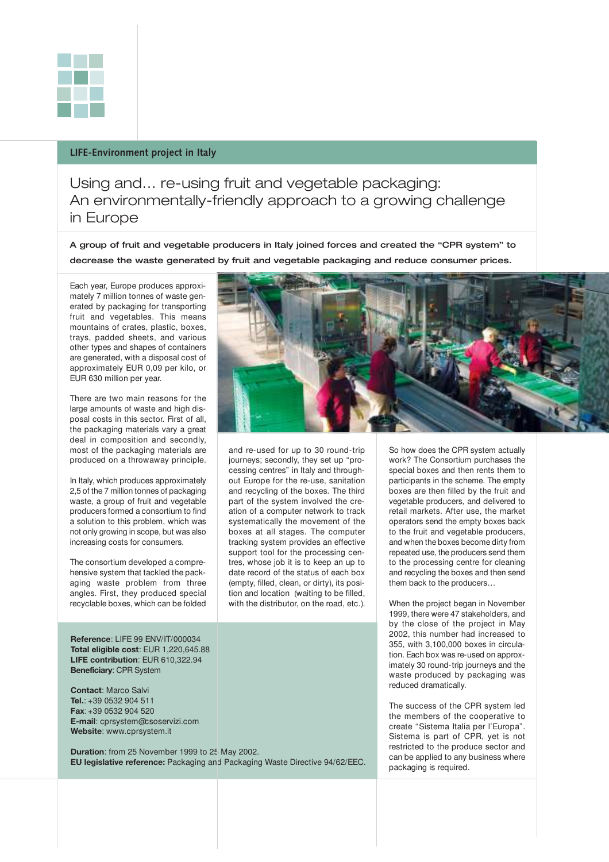

### **LIFE-Environment project in Italy**

Using and… re-using fruit and vegetable packaging: An environmentally-friendly approach to a growing challenge in Europe

A group of fruit and vegetable producers in Italy joined forces and created the "CPR system" to decrease the waste generated by fruit and vegetable packaging and reduce consumer prices.

Each year, Europe produces approximately 7 million tonnes of waste generated by packaging for transporting fruit and vegetables. This means mountains of crates, plastic, boxes, trays, padded sheets, and various other types and shapes of containers are generated, with a disposal cost of approximately EUR 0,09 per kilo, or EUR 630 million per year.

There are two main reasons for the large amounts of waste and high disposal costs in this sector. First of all, the packaging materials vary a great deal in composition and secondly, most of the packaging materials are produced on a throwaway principle.

In Italy, which produces approximately 2,5 of the 7 million tonnes of packaging waste, a group of fruit and vegetable producers formed a consortium to find a solution to this problem, which was not only growing in scope, but was also increasing costs for consumers.

The consortium developed a comprehensive system that tackled the packaging waste problem from three angles. First, they produced special recyclable boxes, which can be folded

**Reference**: LIFE 99 ENV/IT/000034 **Total eligible cost**: EUR 1,220,645.88 **LIFE contribution**: EUR 610,322.94 **Beneficiary**: CPR System

**Contact**: Marco Salvi **Tel.**: +39 0532 904 511 **Fax**:+39 0532 904 520 **E-mail**: cprsystem@csoservizi.com **Website**: www.cprsystem.it

**Duration**: from 25 November 1999 to 25 May 2002. **EU legislative reference:** Packaging and Packaging Waste Directive 94/62/EEC.



and re-used for up to 30 round-trip journeys; secondly, they set up "processing centres" in Italy and throughout Europe for the re-use, sanitation and recycling of the boxes. The third part of the system involved the creation of a computer network to track systematically the movement of the boxes at all stages. The computer tracking system provides an effective support tool for the processing centres, whose job it is to keep an up to date record of the status of each box (empty, filled, clean, or dirty), its position and location (waiting to be filled, with the distributor, on the road, etc.).

So how does the CPR system actually work? The Consortium purchases the special boxes and then rents them to participants in the scheme. The empty boxes are then filled by the fruit and vegetable producers, and delivered to retail markets. After use, the market operators send the empty boxes back to the fruit and vegetable producers, and when the boxes become dirty from repeated use, the producers send them to the processing centre for cleaning and recycling the boxes and then send them back to the producers…

When the project began in November 1999, there were 47 stakeholders, and by the close of the project in May 2002, this number had increased to 355, with 3,100,000 boxes in circulation. Each box was re-used on approximately 30 round-trip journeys and the waste produced by packaging was reduced dramatically.

The success of the CPR system led the members of the cooperative to create "Sistema Italia per l'Europa". Sistema is part of CPR, yet is not restricted to the produce sector and can be applied to any business where packaging is required.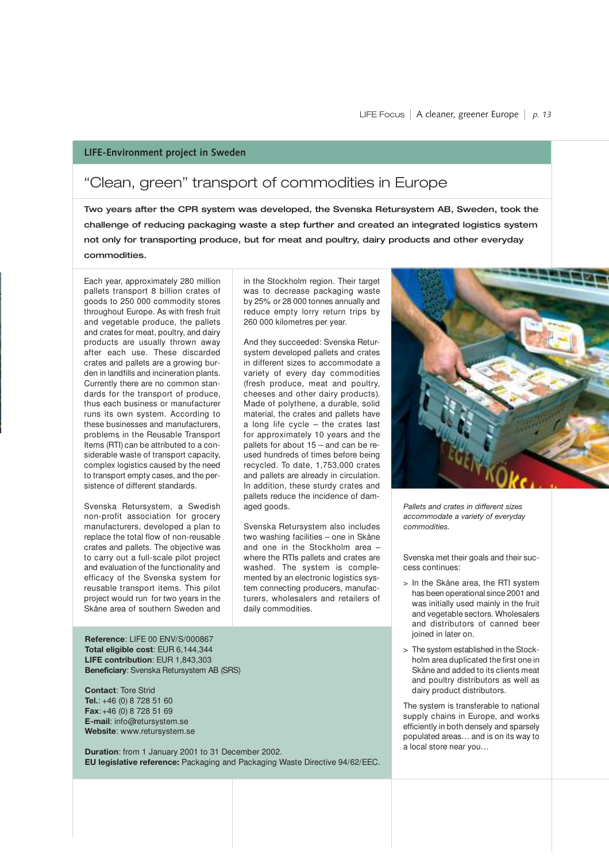### **LIFE-Environment project in Sweden**

## "Clean, green" transport of commodities in Europe

Two years after the CPR system was developed, the Svenska Retursystem AB, Sweden, took the challenge of reducing packaging waste a step further and created an integrated logistics system not only for transporting produce, but for meat and poultry, dairy products and other everyday commodities.

Each year, approximately 280 million pallets transport 8 billion crates of goods to 250 000 commodity stores throughout Europe. As with fresh fruit and vegetable produce, the pallets and crates for meat, poultry, and dairy products are usually thrown away after each use. These discarded crates and pallets are a growing burden in landfills and incineration plants. Currently there are no common standards for the transport of produce, thus each business or manufacturer runs its own system. According to these businesses and manufacturers, problems in the Reusable Transport Items (RTI) can be attributed to a considerable waste of transport capacity, complex logistics caused by the need to transport empty cases, and the persistence of different standards.

Svenska Retursystem, a Swedish non-profit association for grocery manufacturers, developed a plan to replace the total flow of non-reusable crates and pallets. The objective was to carry out a full-scale pilot project and evaluation of the functionality and efficacy of the Svenska system for reusable transport items. This pilot project would run for two years in the Skåne area of southern Sweden and

**Reference**: LIFE 00 ENV/S/000867 **Total eligible cost**: EUR 6,144,344 **LIFE contribution**: EUR 1,843,303 **Beneficiary**: Svenska Retursystem AB (SRS)

**Contact**: Tore Strid **Tel.**: +46 (0) 8 728 51 60 **Fax**:+46 (0) 8 728 51 69 **E-mail**: info@retursystem.se **Website**: www.retursystem.se

**Duration**: from 1 January 2001 to 31 December 2002. **EU legislative reference:** Packaging and Packaging Waste Directive 94/62/EEC.

in the Stockholm region. Their target was to decrease packaging waste by 25% or 28 000 tonnes annually and reduce empty lorry return trips by 260 000 kilometres per year.

And they succeeded: Svenska Retursystem developed pallets and crates in different sizes to accommodate a variety of every day commodities (fresh produce, meat and poultry, cheeses and other dairy products). Made of polythene, a durable, solid material, the crates and pallets have a long life cycle – the crates last for approximately 10 years and the pallets for about 15 – and can be reused hundreds of times before being recycled. To date, 1,753,000 crates and pallets are already in circulation. In addition, these sturdy crates and pallets reduce the incidence of damaged goods.

Svenska Retursystem also includes two washing facilities – one in Skåne and one in the Stockholm area – where the RTIs pallets and crates are washed. The system is complemented by an electronic logistics system connecting producers, manufacturers, wholesalers and retailers of daily commodities.



*Pallets and crates in different sizes accommodate a variety of everyday commodities.*

Svenska met their goals and their success continues:

- > In the Skåne area, the RTI system has been operational since 2001 and was initially used mainly in the fruit and vegetable sectors. Wholesalers and distributors of canned beer joined in later on.
- > The system established in the Stockholm area duplicated the first one in Skåne and added to its clients meat and poultry distributors as well as dairy product distributors.

The system is transferable to national supply chains in Europe, and works efficiently in both densely and sparsely populated areas… and is on its way to a local store near you…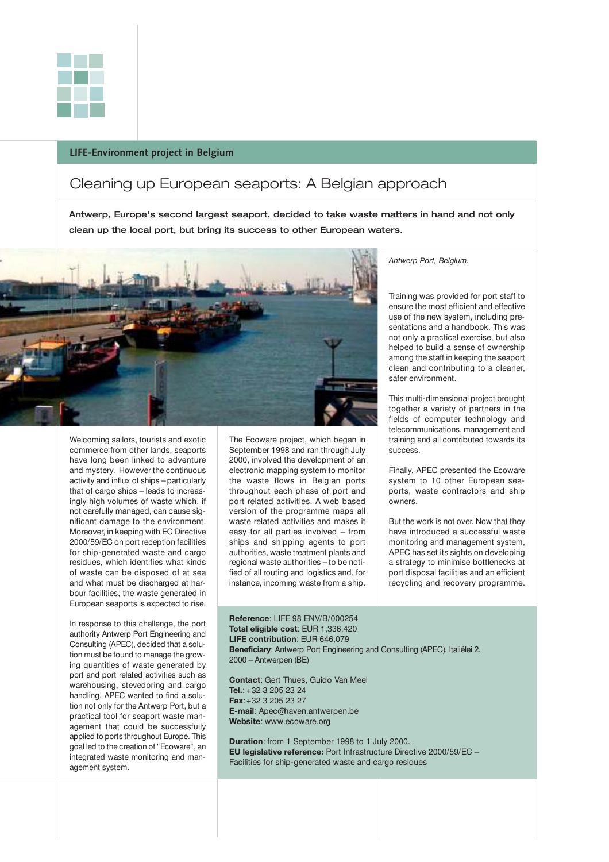

### **LIFE-Environment project in Belgium**

### Cleaning up European seaports: A Belgian approach

Antwerp, Europe's second largest seaport, decided to take waste matters in hand and not only clean up the local port, but bring its success to other European waters.



Welcoming sailors, tourists and exotic commerce from other lands, seaports have long been linked to adventure and mystery. However the continuous activity and influx of ships – particularly that of cargo ships – leads to increasingly high volumes of waste which, if not carefully managed, can cause significant damage to the environment. Moreover, in keeping with EC Directive 2000/59/EC on port reception facilities for ship-generated waste and cargo residues, which identifies what kinds of waste can be disposed of at sea and what must be discharged at harbour facilities, the waste generated in European seaports is expected to rise.

In response to this challenge, the port authority Antwerp Port Engineering and Consulting (APEC), decided that a solution must be found to manage the growing quantities of waste generated by port and port related activities such as warehousing, stevedoring and cargo handling. APEC wanted to find a solution not only for the Antwerp Port, but a practical tool for seaport waste management that could be successfully applied to ports throughout Europe. This goal led to the creation of "Ecoware", an integrated waste monitoring and management system.

The Ecoware project, which began in September 1998 and ran through July 2000, involved the development of an electronic mapping system to monitor the waste flows in Belgian ports throughout each phase of port and port related activities. A web based version of the programme maps all waste related activities and makes it easy for all parties involved – from ships and shipping agents to port authorities, waste treatment plants and regional waste authorities – to be notified of all routing and logistics and, for instance, incoming waste from a ship.

*Antwerp Port, Belgium.*

Training was provided for port staff to ensure the most efficient and effective use of the new system, including presentations and a handbook. This was not only a practical exercise, but also helped to build a sense of ownership among the staff in keeping the seaport clean and contributing to a cleaner, safer environment.

This multi-dimensional project brought together a variety of partners in the fields of computer technology and telecommunications, management and training and all contributed towards its success.

Finally, APEC presented the Ecoware system to 10 other European seaports, waste contractors and ship owners.

But the work is not over. Now that they have introduced a successful waste monitoring and management system, APEC has set its sights on developing a strategy to minimise bottlenecks at port disposal facilities and an efficient recycling and recovery programme.

**Reference**: LIFE 98 ENV/B/000254 **Total eligible cost**: EUR 1,336,420 **LIFE contribution**: EUR 646,079 **Beneficiary**: Antwerp Port Engineering and Consulting (APEC), Italiëlei 2, 2000 – Antwerpen (BE)

**Contact**: Gert Thues, Guido Van Meel **Tel.**: +32 3 205 23 24 **Fax**:+32 3 205 23 27 **E-mail**: Apec@haven.antwerpen.be **Website**: www.ecoware.org

**Duration**: from 1 September 1998 to 1 July 2000. **EU legislative reference:** Port Infrastructure Directive 2000/59/EC – Facilities for ship-generated waste and cargo residues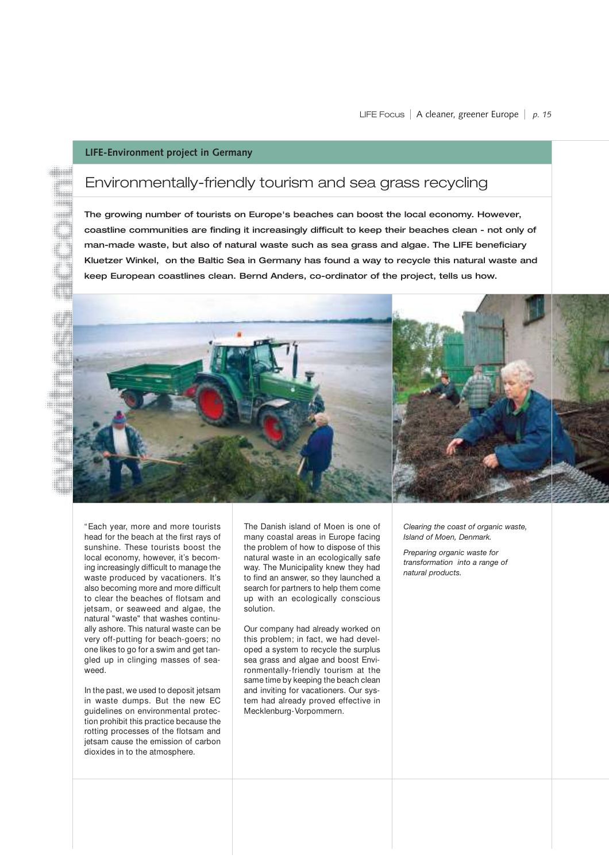### **LIFE-Environment project in Germany**

iiiiiii

### Environmentally-friendly tourism and sea grass recycling

The growing number of tourists on Europe's beaches can boost the local economy. However, coastline communities are finding it increasingly difficult to keep their beaches clean - not only of man-made waste, but also of natural waste such as sea grass and algae. The LIFE beneficiary Kluetzer Winkel, on the Baltic Sea in Germany has found a way to recycle this natural waste and keep European coastlines clean. Bernd Anders, co-ordinator of the project, tells us how.



"Each year, more and more tourists head for the beach at the first rays of sunshine. These tourists boost the local economy, however, it's becoming increasingly difficult to manage the waste produced by vacationers. It's also becoming more and more difficult to clear the beaches of flotsam and jetsam, or seaweed and algae, the natural "waste" that washes continually ashore. This natural waste can be very off-putting for beach-goers; no one likes to go for a swim and get tangled up in clinging masses of seaweed.

In the past, we used to deposit jetsam in waste dumps. But the new EC guidelines on environmental protection prohibit this practice because the rotting processes of the flotsam and jetsam cause the emission of carbon dioxides in to the atmosphere.

The Danish island of Moen is one of many coastal areas in Europe facing the problem of how to dispose of this natural waste in an ecologically safe way. The Municipality knew they had to find an answer, so they launched a search for partners to help them come up with an ecologically conscious solution.

Our company had already worked on this problem; in fact, we had developed a system to recycle the surplus sea grass and algae and boost Environmentally-friendly tourism at the same time by keeping the beach clean and inviting for vacationers. Our system had already proved effective in Mecklenburg-Vorpommern.

*Clearing the coast of organic waste, Island of Moen, Denmark.*

*Preparing organic waste for transformation into a range of natural products.*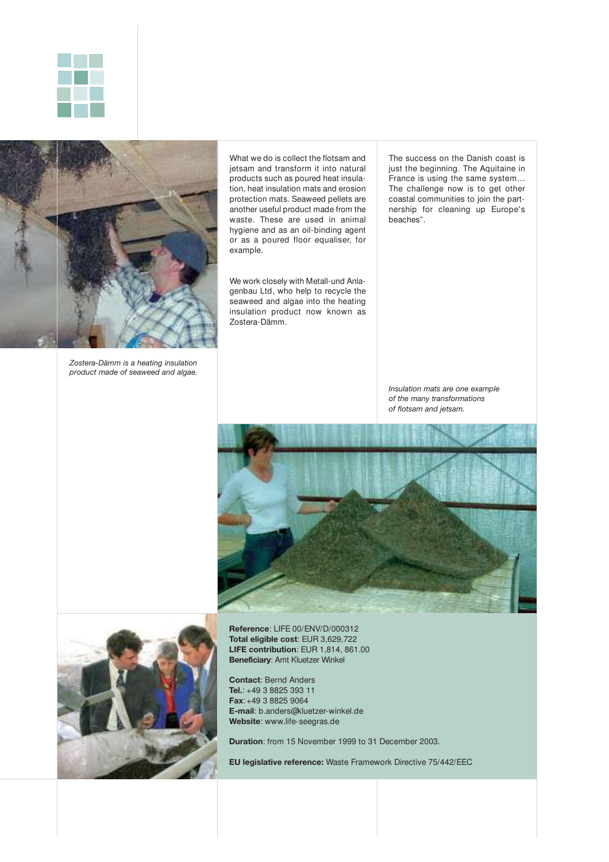



*Zostera-Dämm is a heating insulation product made of seaweed and algae.*

What we do is collect the flotsam and jetsam and transform it into natural products such as poured heat insulation, heat insulation mats and erosion protection mats. Seaweed pellets are another useful product made from the waste. These are used in animal hygiene and as an oil-binding agent or as a poured floor equaliser, for example.

We work closely with Metall-und Anlagenbau Ltd, who help to recycle the seaweed and algae into the heating insulation product now known as Zostera-Dämm.

The success on the Danish coast is just the beginning. The Aquitaine in France is using the same system… The challenge now is to get other coastal communities to join the partnership for cleaning up Europe's beaches".

*Insulation mats are one example of the many transformations of flotsam and jetsam.*





**Reference**: LIFE 00/ENV/D/000312 **Total eligible cost**: EUR 3,629,722 **LIFE contribution**: EUR 1,814, 861.00 **Beneficiary**: Amt Kluetzer Winkel

**Contact**: Bernd Anders **Tel.**: +49 3 8825 393 11 **Fax**:+49 3 8825 9064 **E-mail**: b.anders@kluetzer-winkel.de **Website**: www.life-seegras.de

**Duration**: from 15 November 1999 to 31 December 2003.

**EU legislative reference:** Waste Framework Directive 75/442/EEC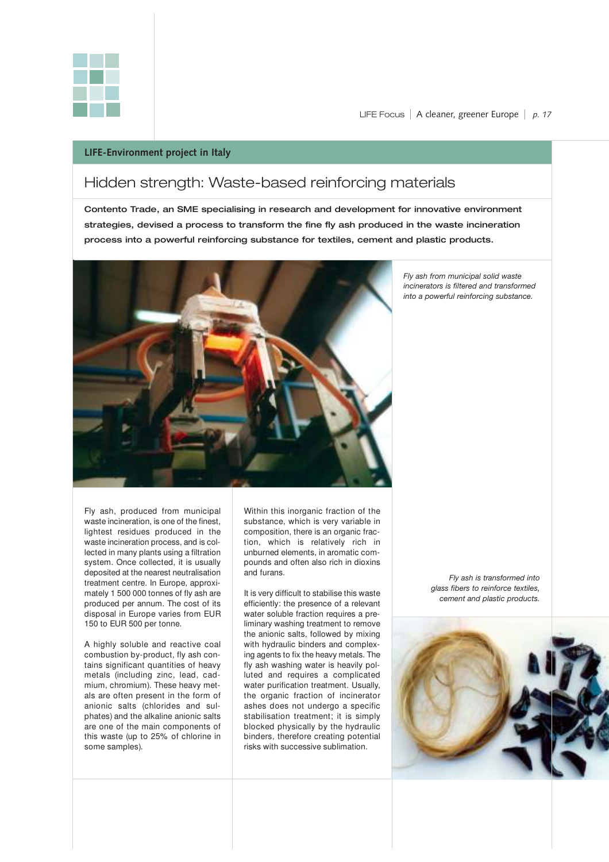

LIFE Focus I A cleaner, greener Europe I *p. 17*

### **LIFE-Environment project in Italy**

### Hidden strength: Waste-based reinforcing materials

Contento Trade, an SME specialising in research and development for innovative environment strategies, devised a process to transform the fine fly ash produced in the waste incineration process into a powerful reinforcing substance for textiles, cement and plastic products.



*Fly ash from municipal solid waste incinerators is filtered and transformed into a powerful reinforcing substance.*

Fly ash, produced from municipal waste incineration, is one of the finest, lightest residues produced in the waste incineration process, and is collected in many plants using a filtration system. Once collected, it is usually deposited at the nearest neutralisation treatment centre. In Europe, approximately 1 500 000 tonnes of fly ash are produced per annum. The cost of its disposal in Europe varies from EUR 150 to EUR 500 per tonne.

A highly soluble and reactive coal combustion by-product, fly ash contains significant quantities of heavy metals (including zinc, lead, cadmium, chromium). These heavy metals are often present in the form of anionic salts (chlorides and sulphates) and the alkaline anionic salts are one of the main components of this waste (up to 25% of chlorine in some samples).

Within this inorganic fraction of the substance, which is very variable in composition, there is an organic fraction, which is relatively rich in unburned elements, in aromatic compounds and often also rich in dioxins and furans.

It is very difficult to stabilise this waste efficiently: the presence of a relevant water soluble fraction requires a preliminary washing treatment to remove the anionic salts, followed by mixing with hydraulic binders and complexing agents to fix the heavy metals. The fly ash washing water is heavily polluted and requires a complicated water purification treatment. Usually, the organic fraction of incinerator ashes does not undergo a specific stabilisation treatment; it is simply blocked physically by the hydraulic binders, therefore creating potential risks with successive sublimation.

*Fly ash is transformed into glass fibers to reinforce textiles, cement and plastic products.*

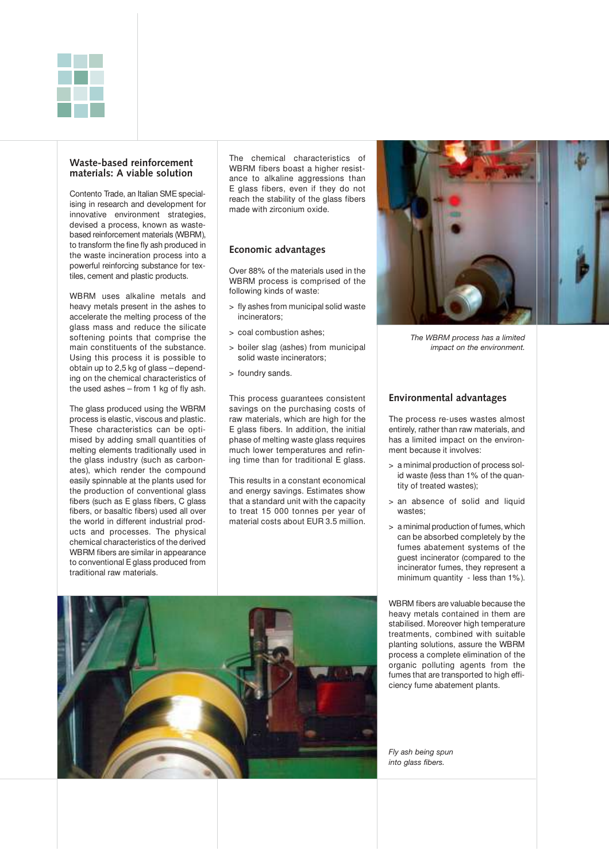

### **Waste-based reinforcement materials: A viable solution**

Contento Trade, an Italian SME specialising in research and development for innovative environment strategies, devised a process, known as wastebased reinforcement materials (WBRM), to transform the fine fly ash produced in the waste incineration process into a powerful reinforcing substance for textiles, cement and plastic products.

WBRM uses alkaline metals and heavy metals present in the ashes to accelerate the melting process of the glass mass and reduce the silicate softening points that comprise the main constituents of the substance. Using this process it is possible to obtain up to 2,5 kg of glass – depending on the chemical characteristics of the used ashes – from 1 kg of fly ash.

The glass produced using the WBRM process is elastic, viscous and plastic. These characteristics can be optimised by adding small quantities of melting elements traditionally used in the glass industry (such as carbonates), which render the compound easily spinnable at the plants used for the production of conventional glass fibers (such as E glass fibers, C glass fibers, or basaltic fibers) used all over the world in different industrial products and processes. The physical chemical characteristics of the derived WBRM fibers are similar in appearance to conventional E glass produced from traditional raw materials.

The chemical characteristics of WBRM fibers boast a higher resistance to alkaline aggressions than E glass fibers, even if they do not reach the stability of the glass fibers made with zirconium oxide.

### **Economic advantages**

Over 88% of the materials used in the WBRM process is comprised of the following kinds of waste:

- > fly ashes from municipal solid waste incinerators;
- > coal combustion ashes;
- > boiler slag (ashes) from municipal solid waste incinerators;
- > foundry sands.

This process guarantees consistent savings on the purchasing costs of raw materials, which are high for the E glass fibers. In addition, the initial phase of melting waste glass requires much lower temperatures and refining time than for traditional E glass.

This results in a constant economical and energy savings. Estimates show that a standard unit with the capacity to treat 15 000 tonnes per year of material costs about EUR 3.5 million.



*The WBRM process has a limited impact on the environment.*

### **Environmental advantages**

The process re-uses wastes almost entirely, rather than raw materials, and has a limited impact on the environment because it involves:

- > a minimal production of process solid waste (less than 1% of the quantity of treated wastes);
- > an absence of solid and liquid wastes;
- > a minimal production of fumes, which can be absorbed completely by the fumes abatement systems of the guest incinerator (compared to the incinerator fumes, they represent a minimum quantity - less than 1%).

WBRM fibers are valuable because the heavy metals contained in them are stabilised. Moreover high temperature treatments, combined with suitable planting solutions, assure the WBRM process a complete elimination of the organic polluting agents from the fumes that are transported to high efficiency fume abatement plants.



*Fly ash being spun into glass fibers.*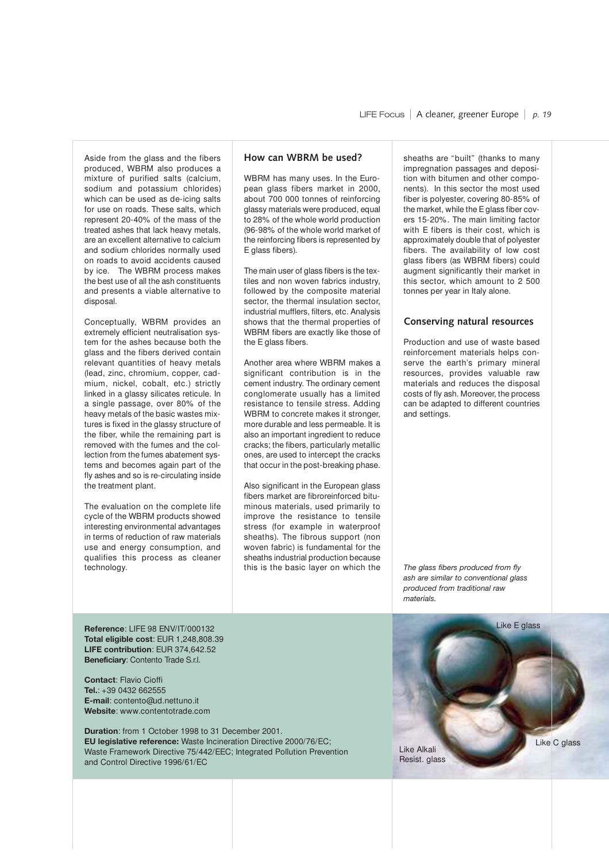Aside from the glass and the fibers produced, WBRM also produces a mixture of purified salts (calcium, sodium and potassium chlorides) which can be used as de-icing salts for use on roads. These salts, which represent 20-40% of the mass of the treated ashes that lack heavy metals, are an excellent alternative to calcium and sodium chlorides normally used on roads to avoid accidents caused by ice. The WBRM process makes the best use of all the ash constituents and presents a viable alternative to disposal.

Conceptually, WBRM provides an extremely efficient neutralisation system for the ashes because both the glass and the fibers derived contain relevant quantities of heavy metals (lead, zinc, chromium, copper, cadmium, nickel, cobalt, etc.) strictly linked in a glassy silicates reticule. In a single passage, over 80% of the heavy metals of the basic wastes mixtures is fixed in the glassy structure of the fiber, while the remaining part is removed with the fumes and the collection from the fumes abatement systems and becomes again part of the fly ashes and so is re-circulating inside the treatment plant.

The evaluation on the complete life cycle of the WBRM products showed interesting environmental advantages in terms of reduction of raw materials use and energy consumption, and qualifies this process as cleaner technology.

#### **How can WBRM be used?**

WBRM has many uses. In the European glass fibers market in 2000, about 700 000 tonnes of reinforcing glassy materials were produced, equal to 28% of the whole world production (96-98% of the whole world market of the reinforcing fibers is represented by E glass fibers).

The main user of glass fibers is the textiles and non woven fabrics industry, followed by the composite material sector, the thermal insulation sector, industrial mufflers, filters, etc. Analysis shows that the thermal properties of WBRM fibers are exactly like those of the E glass fibers.

Another area where WBRM makes a significant contribution is in the cement industry. The ordinary cement conglomerate usually has a limited resistance to tensile stress. Adding WBRM to concrete makes it stronger. more durable and less permeable. It is also an important ingredient to reduce cracks; the fibers, particularly metallic ones, are used to intercept the cracks that occur in the post-breaking phase.

Also significant in the European glass fibers market are fibroreinforced bituminous materials, used primarily to improve the resistance to tensile stress (for example in waterproof sheaths). The fibrous support (non woven fabric) is fundamental for the sheaths industrial production because this is the basic layer on which the

sheaths are "built" (thanks to many impregnation passages and deposition with bitumen and other components). In this sector the most used fiber is polyester, covering 80-85% of the market, while the E glass fiber covers 15-20%. The main limiting factor with E fibers is their cost, which is approximately double that of polyester fibers. The availability of low cost glass fibers (as WBRM fibers) could augment significantly their market in this sector, which amount to 2 500 tonnes per year in Italy alone.

### **Conserving natural resources**

Production and use of waste based reinforcement materials helps conserve the earth's primary mineral resources, provides valuable raw materials and reduces the disposal costs of fly ash. Moreover, the process can be adapted to different countries and settings.

*The glass fibers produced from fly ash are similar to conventional glass produced from traditional raw materials.*

**Reference**: LIFE 98 ENV/IT/000132 **Total eligible cost**: EUR 1,248,808.39 **LIFE contribution**: EUR 374,642.52 **Beneficiary**: Contento Trade S.r.l.

**Contact**: Flavio Cioffi **Tel.**: +39 0432 662555 **E-mail**: contento@ud.nettuno.it **Website**: www.contentotrade.com

**Duration**: from 1 October 1998 to 31 December 2001. **EU legislative reference:** Waste Incineration Directive 2000/76/EC; Waste Framework Directive 75/442/EEC; Integrated Pollution Prevention and Control Directive 1996/61/EC

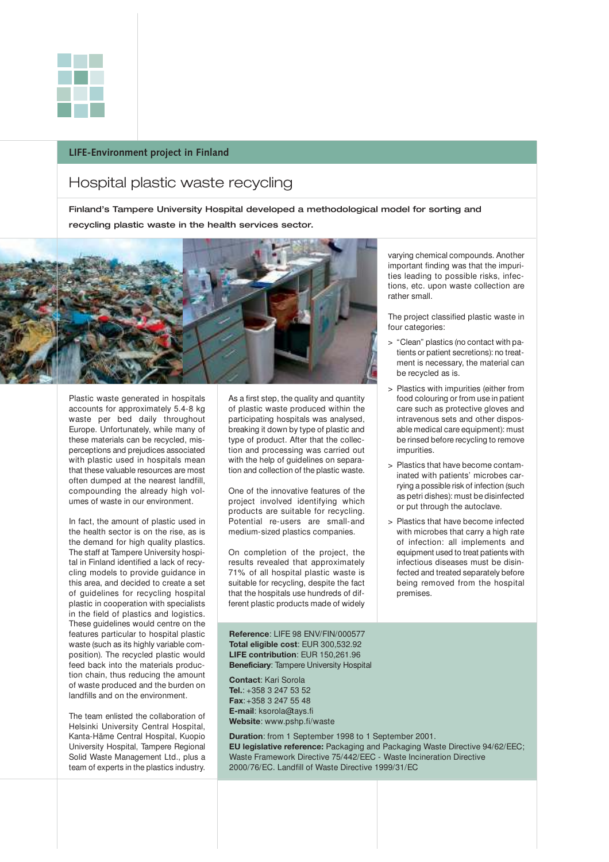

### **LIFE-Environment project in Finland**

### Hospital plastic waste recycling

Finland's Tampere University Hospital developed a methodological model for sorting and recycling plastic waste in the health services sector.

![](_page_20_Picture_4.jpeg)

Plastic waste generated in hospitals accounts for approximately 5.4-8 kg waste per bed daily throughout Europe. Unfortunately, while many of these materials can be recycled, misperceptions and prejudices associated with plastic used in hospitals mean that these valuable resources are most often dumped at the nearest landfill, compounding the already high volumes of waste in our environment.

In fact, the amount of plastic used in the health sector is on the rise, as is the demand for high quality plastics. The staff at Tampere University hospital in Finland identified a lack of recycling models to provide guidance in this area, and decided to create a set of guidelines for recycling hospital plastic in cooperation with specialists in the field of plastics and logistics. These guidelines would centre on the features particular to hospital plastic waste (such as its highly variable composition). The recycled plastic would feed back into the materials production chain, thus reducing the amount of waste produced and the burden on landfills and on the environment.

The team enlisted the collaboration of Helsinki University Central Hospital, Kanta-Häme Central Hospital, Kuopio University Hospital, Tampere Regional Solid Waste Management Ltd., plus a team of experts in the plastics industry.

As a first step, the quality and quantity of plastic waste produced within the participating hospitals was analysed, breaking it down by type of plastic and type of product. After that the collection and processing was carried out with the help of quidelines on separation and collection of the plastic waste.

One of the innovative features of the project involved identifying which products are suitable for recycling. Potential re-users are small-and medium-sized plastics companies.

On completion of the project, the results revealed that approximately 71% of all hospital plastic waste is suitable for recycling, despite the fact that the hospitals use hundreds of different plastic products made of widely

**Reference**: LIFE 98 ENV/FIN/000577 **Total eligible cost**: EUR 300,532.92 **LIFE contribution**: EUR 150,261.96 **Beneficiary**: Tampere University Hospital

**Contact**: Kari Sorola **Tel.**: +358 3 247 53 52 **Fax**:+358 3 247 55 48 **E-mail**: ksorola@tays.fi **Website**: www.pshp.fi/waste

**Duration**: from 1 September 1998 to 1 September 2001. **EU legislative reference:** Packaging and Packaging Waste Directive 94/62/EEC; Waste Framework Directive 75/442/EEC - Waste Incineration Directive 2000/76/EC. Landfill of Waste Directive 1999/31/EC

varying chemical compounds. Another important finding was that the impurities leading to possible risks, infections, etc. upon waste collection are rather small.

The project classified plastic waste in four categories:

- > "Clean" plastics (no contact with patients or patient secretions): no treatment is necessary, the material can be recycled as is.
- > Plastics with impurities (either from food colouring or from use in patient care such as protective gloves and intravenous sets and other disposable medical care equipment): must be rinsed before recycling to remove impurities.
- > Plastics that have become contaminated with patients' microbes carrying a possible risk of infection (such as petri dishes): must be disinfected or put through the autoclave.
- > Plastics that have become infected with microbes that carry a high rate of infection: all implements and equipment used to treat patients with infectious diseases must be disinfected and treated separately before being removed from the hospital premises.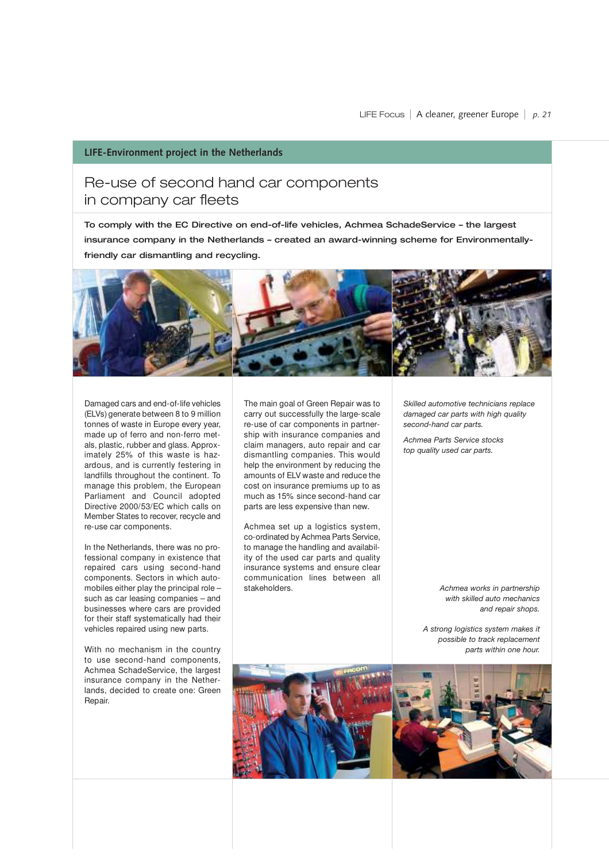### **LIFE-Environment project in the Netherlands**

### Re-use of second hand car components in company car fleets

To comply with the EC Directive on end-of-life vehicles, Achmea SchadeService – the largest insurance company in the Netherlands – created an award-winning scheme for Environmentallyfriendly car dismantling and recycling.

![](_page_21_Picture_4.jpeg)

Damaged cars and end-of-life vehicles (ELVs) generate between 8 to 9 million tonnes of waste in Europe every year, made up of ferro and non-ferro metals, plastic, rubber and glass. Approximately 25% of this waste is hazardous, and is currently festering in landfills throughout the continent. To manage this problem, the European Parliament and Council adopted Directive 2000/53/EC which calls on Member States to recover, recycle and re-use car components.

In the Netherlands, there was no professional company in existence that repaired cars using second-hand components. Sectors in which automobiles either play the principal role – such as car leasing companies – and businesses where cars are provided for their staff systematically had their vehicles repaired using new parts.

With no mechanism in the country to use second-hand components, Achmea SchadeService, the largest insurance company in the Netherlands, decided to create one: Green Repair.

The main goal of Green Repair was to carry out successfully the large-scale re-use of car components in partnership with insurance companies and claim managers, auto repair and car dismantling companies. This would help the environment by reducing the amounts of ELV waste and reduce the cost on insurance premiums up to as much as 15% since second-hand car parts are less expensive than new.

Achmea set up a logistics system, co-ordinated by Achmea Parts Service, to manage the handling and availability of the used car parts and quality insurance systems and ensure clear communication lines between all stakeholders.

*Skilled automotive technicians replace damaged car parts with high quality second-hand car parts.* 

*Achmea Parts Service stocks top quality used car parts.*

> *Achmea works in partnership with skilled auto mechanics and repair shops.*

*A strong logistics system makes it possible to track replacement parts within one hour.*

![](_page_21_Picture_14.jpeg)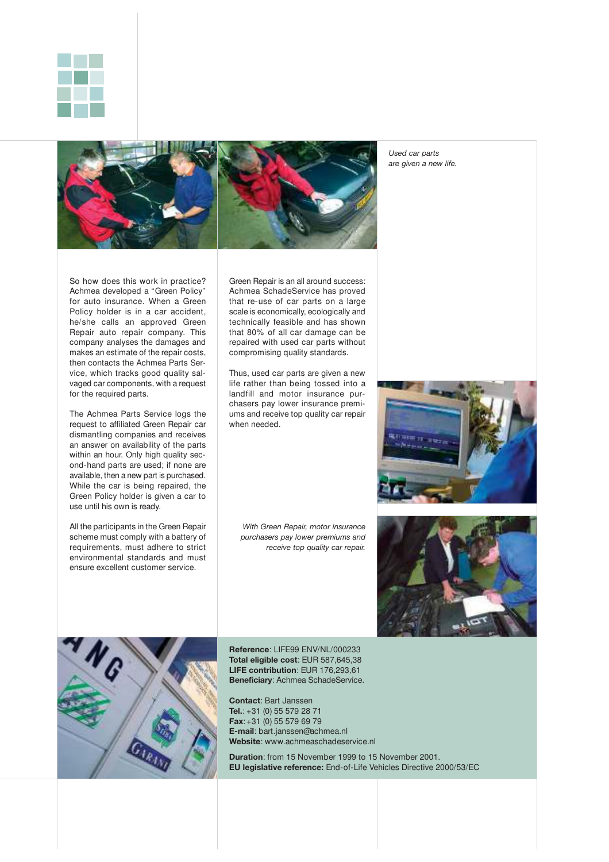![](_page_22_Picture_0.jpeg)

![](_page_22_Picture_1.jpeg)

*Used car parts are given a new life.*

So how does this work in practice? Achmea developed a "Green Policy" for auto insurance. When a Green Policy holder is in a car accident, he/she calls an approved Green Repair auto repair company. This company analyses the damages and makes an estimate of the repair costs, then contacts the Achmea Parts Service, which tracks good quality salvaged car components, with a request for the required parts.

The Achmea Parts Service logs the request to affiliated Green Repair car dismantling companies and receives an answer on availability of the parts within an hour. Only high quality second-hand parts are used; if none are available, then a new part is purchased. While the car is being repaired, the Green Policy holder is given a car to use until his own is ready.

All the participants in the Green Repair scheme must comply with a battery of requirements, must adhere to strict environmental standards and must ensure excellent customer service.

Green Repair is an all around success: Achmea SchadeService has proved that re-use of car parts on a large scale is economically, ecologically and technically feasible and has shown that 80% of all car damage can be repaired with used car parts without compromising quality standards.

Thus, used car parts are given a new life rather than being tossed into a landfill and motor insurance purchasers pay lower insurance premiums and receive top quality car repair when needed.

*With Green Repair, motor insurance purchasers pay lower premiums and receive top quality car repair.*

![](_page_22_Picture_9.jpeg)

![](_page_22_Picture_10.jpeg)

![](_page_22_Picture_11.jpeg)

**Reference**: LIFE99 ENV/NL/000233 **Total eligible cost**: EUR 587,645,38 **LIFE contribution**: EUR 176,293,61 **Beneficiary**: Achmea SchadeService.

**Contact**: Bart Janssen **Tel.**: +31 (0) 55 579 28 71 **Fax**:+31 (0) 55 579 69 79 **E-mail**: bart.janssen@achmea.nl **Website**: www.achmeaschadeservice.nl

**Duration**: from 15 November 1999 to 15 November 2001. **EU legislative reference:** End-of-Life Vehicles Directive 2000/53/EC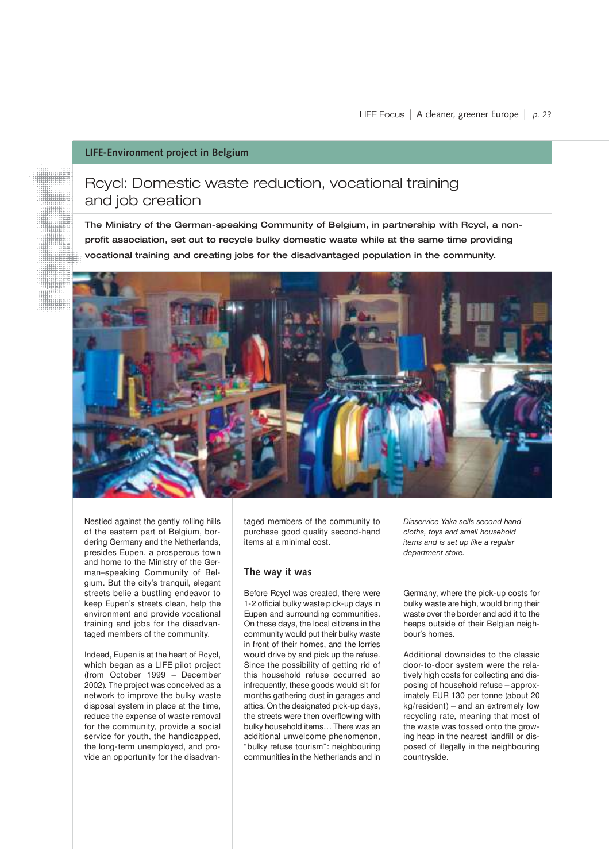### **LIFE-Environment project in Belgium**

### Rcycl: Domestic waste reduction, vocational training and job creation

The Ministry of the German-speaking Community of Belgium, in partnership with Rcycl, a nonprofit association, set out to recycle bulky domestic waste while at the same time providing vocational training and creating jobs for the disadvantaged population in the community.

![](_page_23_Picture_4.jpeg)

Nestled against the gently rolling hills of the eastern part of Belgium, bordering Germany and the Netherlands, presides Eupen, a prosperous town and home to the Ministry of the German–speaking Community of Belgium. But the city's tranquil, elegant streets belie a bustling endeavor to keep Eupen's streets clean, help the environment and provide vocational training and jobs for the disadvantaged members of the community.

Indeed, Eupen is at the heart of Rcycl, which began as a LIFE pilot project (from October 1999 – December 2002). The project was conceived as a network to improve the bulky waste disposal system in place at the time, reduce the expense of waste removal for the community, provide a social service for youth, the handicapped, the long-term unemployed, and provide an opportunity for the disadvantaged members of the community to purchase good quality second-hand items at a minimal cost.

### **The way it was**

Before Rcycl was created, there were 1-2 official bulky waste pick-up days in Eupen and surrounding communities. On these days, the local citizens in the community would put their bulky waste in front of their homes, and the lorries would drive by and pick up the refuse. Since the possibility of getting rid of this household refuse occurred so infrequently, these goods would sit for months gathering dust in garages and attics. On the designated pick-up days, the streets were then overflowing with bulky household items… There was an additional unwelcome phenomenon, "bulky refuse tourism": neighbouring communities in the Netherlands and in *Diaservice Yaka sells second hand cloths, toys and small household items and is set up like a regular department store.*

Germany, where the pick-up costs for bulky waste are high, would bring their waste over the border and add it to the heaps outside of their Belgian neighbour's homes.

Additional downsides to the classic door-to-door system were the relatively high costs for collecting and disposing of household refuse – approximately EUR 130 per tonne (about 20 kg/resident) – and an extremely low recycling rate, meaning that most of the waste was tossed onto the growing heap in the nearest landfill or disposed of illegally in the neighbouring countryside.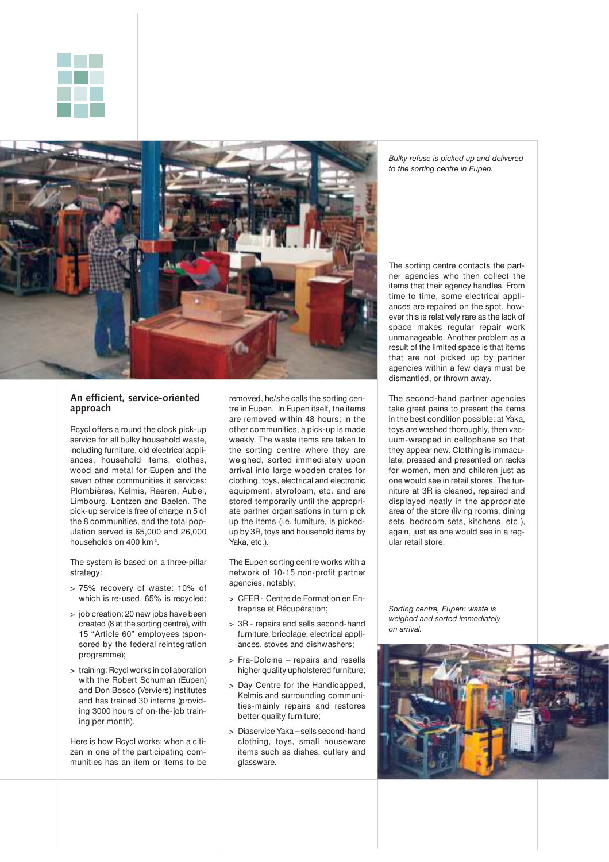![](_page_24_Picture_0.jpeg)

![](_page_24_Picture_1.jpeg)

### **An efficient, service-oriented approach**

Rcycl offers a round the clock pick-up service for all bulky household waste, including furniture, old electrical appliances, household items, clothes, wood and metal for Eupen and the seven other communities it services: Plombières, Kelmis, Raeren, Aubel, Limbourg, Lontzen and Baelen. The pick-up service is free of charge in 5 of the 8 communities, and the total population served is 65,000 and 26,000 households on 400 km<sup>2</sup>.

The system is based on a three-pillar strategy:

- > 75% recovery of waste: 10% of which is re-used, 65% is recycled;
- > job creation: 20 new jobs have been created (8 at the sorting centre), with 15 "Article 60" employees (sponsored by the federal reintegration programme);
- > training: Rcycl works in collaboration with the Robert Schuman (Eupen) and Don Bosco (Verviers) institutes and has trained 30 interns (providing 3000 hours of on-the-job training per month).

Here is how Rcycl works: when a citizen in one of the participating communities has an item or items to be

removed, he/she calls the sorting centre in Eupen. In Eupen itself, the items are removed within 48 hours; in the other communities, a pick-up is made weekly. The waste items are taken to the sorting centre where they are weighed, sorted immediately upon arrival into large wooden crates for clothing, toys, electrical and electronic equipment, styrofoam, etc. and are stored temporarily until the appropriate partner organisations in turn pick up the items (i.e. furniture, is pickedup by 3R, toys and household items by Yaka, etc.).

The Eupen sorting centre works with a network of 10-15 non-profit partner agencies, notably:

- > CFER Centre de Formation en Entreprise et Récupération;
- > 3R repairs and sells second-hand furniture, bricolage, electrical appliances, stoves and dishwashers;
- > Fra-Dolcine repairs and resells higher quality upholstered furniture;
- > Day Centre for the Handicapped, Kelmis and surrounding communities-mainly repairs and restores better quality furniture;
- > Diaservice Yaka sells second-hand clothing, toys, small houseware items such as dishes, cutlery and glassware.

*Bulky refuse is picked up and delivered to the sorting centre in Eupen.*

The sorting centre contacts the partner agencies who then collect the items that their agency handles. From time to time, some electrical appliances are repaired on the spot, however this is relatively rare as the lack of space makes regular repair work unmanageable. Another problem as a result of the limited space is that items that are not picked up by partner agencies within a few days must be dismantled, or thrown away.

The second-hand partner agencies take great pains to present the items in the best condition possible: at Yaka, toys are washed thoroughly, then vacuum-wrapped in cellophane so that they appear new. Clothing is immaculate, pressed and presented on racks for women, men and children just as one would see in retail stores. The furniture at 3R is cleaned, repaired and displayed neatly in the appropriate area of the store (living rooms, dining sets, bedroom sets, kitchens, etc.), again, just as one would see in a regular retail store.

*Sorting centre, Eupen: waste is weighed and sorted immediately on arrival.*

![](_page_24_Picture_20.jpeg)